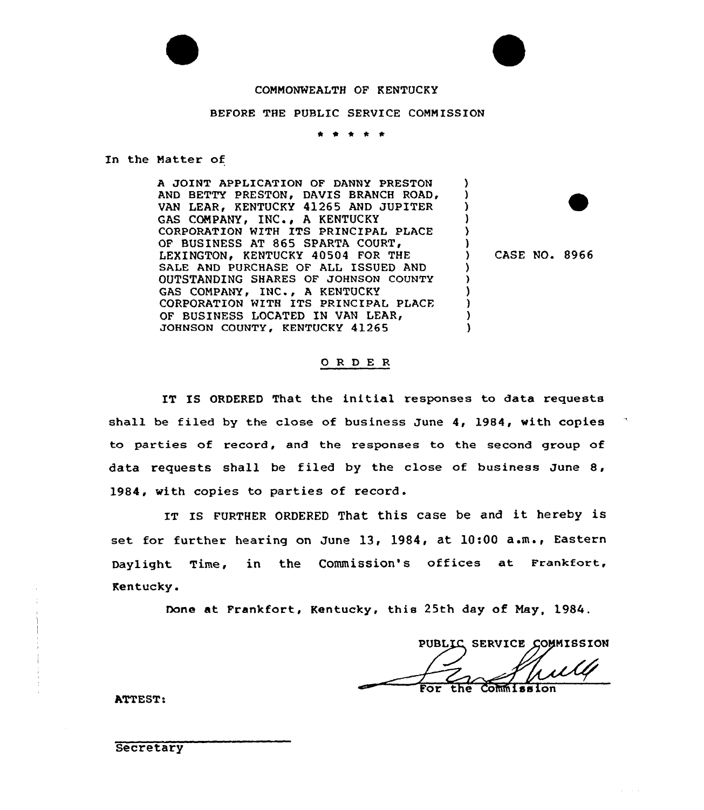

### CONNONWEALTH OF KENTUCKY

#### BEFORE THE PUBLIC SERVICE CONNISSION

\* 4 <sup>4</sup> \* \*

#### In the Natter of

) and  $\begin{pmatrix} 1 \\ 2 \end{pmatrix}$ A JOINT APPLICATION OF DANNY PRESTON ) AND BETTY PRESTON, DAVIS BRANCH ROAD, VAN LEAR, KENTUCKY 41265 AND JUPITER GAS COMPANY, INC., A KENTUCKY ) CORPORATION WITH ITS PRINCIPAL PLACE ) QF BUSINESS AT 865 SPARTA COURT, ) LEXINGTON, KENTUCKY 40504 FOR THE ) CASE NO. 8966 SALE AND PURCHASE OF ALL ISSUED AND ) OUTSTANDING SHARES OF JOHNSON COUNTY λ. GAS COMPANY, INC., A KENTUCKY ) CORPORATION WITH ITS PRINCIPAL PLACE ) OF BUSINESS LOCATED IN VAN LEAR, ) JOHNSON COUNTY, KENTUCKY 41265 )

### 0 R <sup>D</sup> E R

IT IS ORDERED That the initial responses to data requests shall be filed by the close of business June 4, 1984, with copies to parties of record, and the responses to the second group of data requests shall be filed by the close of business June 8, l984, with copies to parties of record.

IT IS FURTHER ORDERED That this case be and it hereby is set for further hearing on June 13, 1984, at 10:00 a.m., Eastern Daylight Time, in the Commission's offices at Frankfort, Kentucky.

Done at Frankfort, Kentucky, this 25th day of Nay, 1984.

PUBLIC SERVICE COMMISSION Commission

ATTEST:

Secretary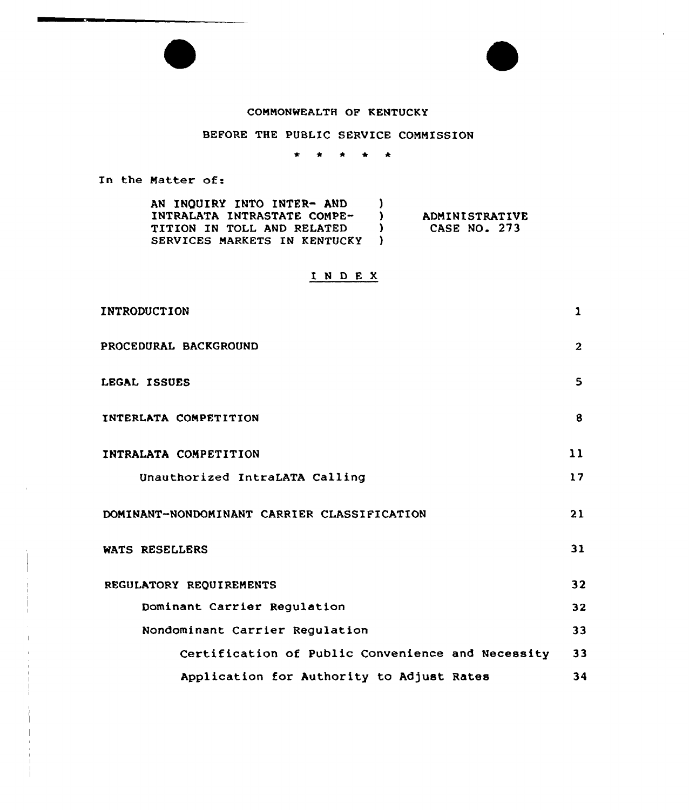## COMMONWEALTH OF KENTUCKY

# BEFORE THE PUBLIC SERVICE COMMISSION

 $\star$ \* \* \* \*

In the Matter of:

| AN INQUIRY INTO INTER- AND   |                       |
|------------------------------|-----------------------|
| INTRALATA INTRASTATE COMPE-  | <b>ADMINISTRATIVE</b> |
| TITION IN TOLL AND RELATED   | CASE NO. 273          |
| SERVICES MARKETS IN KENTUCKY |                       |

# I <sup>N</sup> <sup>D</sup> <sup>E</sup> <sup>X</sup>

| INTRODUCTION                                      | 1              |
|---------------------------------------------------|----------------|
| PROCEDURAL BACKGROUND                             | $\overline{2}$ |
| LEGAL ISSUES                                      | 5              |
| INTERLATA COMPETITION                             | 8              |
| INTRALATA COMPETITION                             | 11             |
| Unauthorized IntraLATA Calling                    | 17             |
| DOMINANT-NONDOMINANT CARRIER CLASSIFICATION       | 21             |
| WATS RESELLERS                                    | 31             |
| REGULATORY REQUIREMENTS                           | 32             |
| Dominant Carrier Regulation                       | 32             |
| Nondominant Carrier Regulation                    | 33             |
| Certification of Public Convenience and Necessity | 33             |
| Application for Authority to Adjust Rates         | 34             |